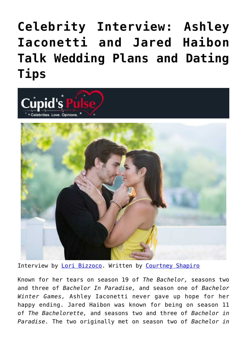## **[Celebrity Interview: Ashley](https://cupidspulse.com/127471/celebrity-interview-ashley-iaconetti-jared-haibon-wedding-plans-dating-tips/) [Iaconetti and Jared Haibon](https://cupidspulse.com/127471/celebrity-interview-ashley-iaconetti-jared-haibon-wedding-plans-dating-tips/) [Talk Wedding Plans and Dating](https://cupidspulse.com/127471/celebrity-interview-ashley-iaconetti-jared-haibon-wedding-plans-dating-tips/) [Tips](https://cupidspulse.com/127471/celebrity-interview-ashley-iaconetti-jared-haibon-wedding-plans-dating-tips/)**



Interview by [Lori Bizzoco.](http://cupidspulse.com/104596/lori-bizzoco/) Written by [Courtney Shapiro](http://cupidspulse.com/126719/courtney-shapiro/)

Known for her tears on season 19 of *The Bachelor,* seasons two and three of *Bachelor In Paradise,* and season one of *Bachelor Winter Games,* Ashley Iaconetti never gave up hope for her happy ending. Jared Haibon was known for being on season 11 of *The Bachelorette,* and seasons two and three of *Bachelor in Paradise.* The two originally met on season two of *Bachelor in*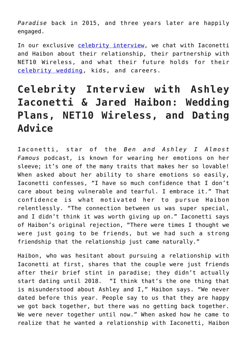*Paradise* back in 2015, and three years later are happily engaged.

In our exclusive [celebrity interview](http://cupidspulse.com/celebrity-news/celebrity-interviews/), we chat with Iaconetti and Haibon about their relationship, their partnership with NET10 Wireless, and what their future holds for their [celebrity wedding,](http://cupidspulse.com/celebrity-relationships/wedding-engagement/) kids, and careers.

## **Celebrity Interview with Ashley Iaconetti & Jared Haibon: Wedding Plans, NET10 Wireless, and Dating Advice**

Iaconetti, star of the *Ben and Ashley I Almost Famous* podcast*,* is known for wearing her emotions on her sleeve; it's one of the many traits that makes her so lovable! When asked about her ability to share emotions so easily, Iaconetti confesses, "I have so much confidence that I don't care about being vulnerable and tearful. I embrace it." That confidence is what motivated her to pursue Haibon relentlessly. "The connection between us was super special, and I didn't think it was worth giving up on." Iaconetti says of Haibon's original rejection, "There were times I thought we were just going to be friends, but we had such a strong friendship that the relationship just came naturally."

Haibon, who was hesitant about pursuing a relationship with Iaconetti at first, shares that the couple were just friends after their brief stint in paradise; they didn't actually start dating until 2018. "I think that's the one thing that is misunderstood about Ashley and I," Haibon says. "We never dated before this year. People say to us that they are happy we got back together, but there was no getting back together. We were never together until now." When asked how he came to realize that he wanted a relationship with Iaconetti, Haibon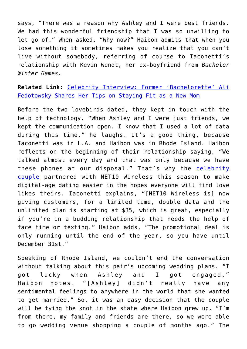says, "There was a reason why Ashley and I were best friends. We had this wonderful friendship that I was so unwilling to let go of." When asked, "Why now?" Haibon admits that when you lose something it sometimes makes you realize that you can't live without somebody, referring of course to Iaconetti's relationship with Kevin Wendt, her ex-boyfriend from *Bachelor Winter Games.*

**Related Link:** [Celebrity Interview: Former 'Bachelorette' Ali](http://cupidspulse.com/119260/celebrity-interview-bachelorette-ali-fedotowsky-new-mom/#TKry5IUIp9BlYDri.99) [Fedotowsky Shares Her Tips on Staying Fit as a New Mom](http://cupidspulse.com/119260/celebrity-interview-bachelorette-ali-fedotowsky-new-mom/#TKry5IUIp9BlYDri.99)

Before the two lovebirds dated, they kept in touch with the help of technology. "When Ashley and I were just friends, we kept the communication open. I know that I used a lot of data during this time," he laughs. It's a good thing, because Iaconetti was in L.A. and Haibon was in Rhode Island. Haibon reflects on the beginning of their relationship saying, "We talked almost every day and that was only because we have these phones at our disposal." That's why the [celebrity](http://cupidspulse.com/celebrity-news/celebrity-dating/) [couple](http://cupidspulse.com/celebrity-news/celebrity-dating/) partnered with NET10 Wireless this season to make digital-age dating easier in the hopes everyone will find love likes theirs. Iaconetti explains, "[NET10 Wireless is] now giving customers, for a limited time, double data and the unlimited plan is starting at \$35, which is great, especially if you're in a budding relationship that needs the help of face time or texting." Haibon adds, "The promotional deal is only running until the end of the year, so you have until December 31st."

Speaking of Rhode Island, we couldn't end the conversation without talking about this pair's upcoming wedding plans. "I got lucky when Ashley and I got engaged," Haibon notes. "[Ashley] didn't really have any sentimental feelings to anywhere in the world that she wanted to get married." So, it was an easy decision that the couple will be tying the knot in the state where Haibon grew up. "I'm from there, my family and friends are there, so we were able to go wedding venue shopping a couple of months ago." The